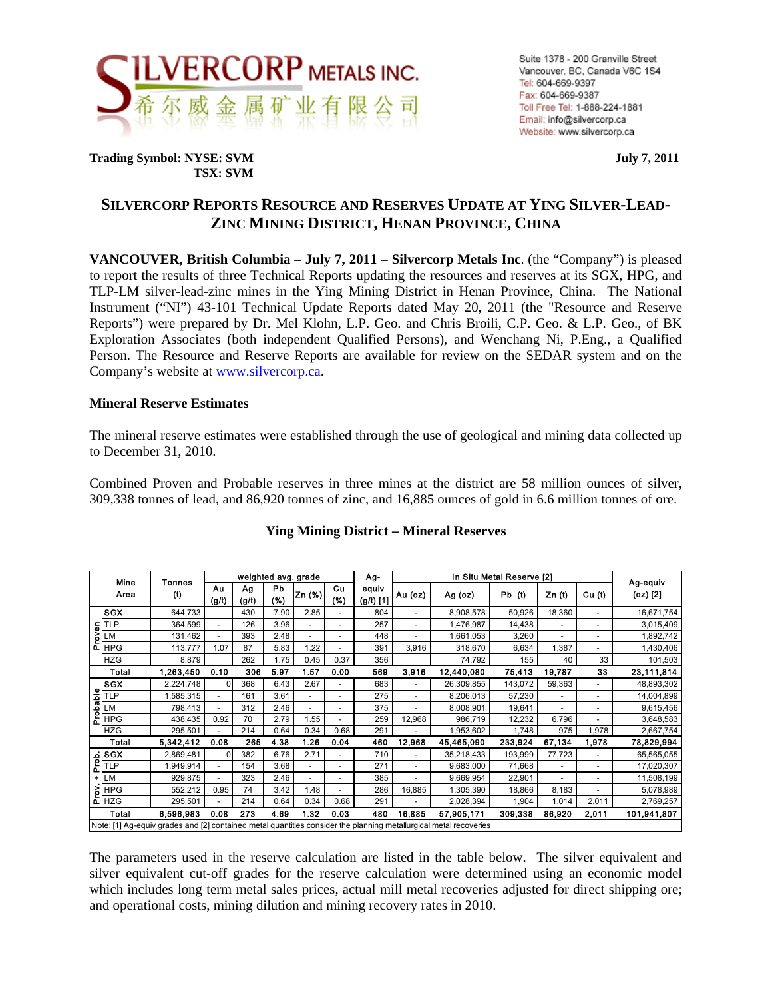

**Trading Symbol: NYSE: SVM** July 7, 2011  **TSX: SVM** 

## **SILVERCORP REPORTS RESOURCE AND RESERVES UPDATE AT YING SILVER-LEAD-ZINC MINING DISTRICT, HENAN PROVINCE, CHINA**

**VANCOUVER, British Columbia – July 7, 2011 – Silvercorp Metals Inc**. (the "Company") is pleased to report the results of three Technical Reports updating the resources and reserves at its SGX, HPG, and TLP-LM silver-lead-zinc mines in the Ying Mining District in Henan Province, China. The National Instrument ("NI") 43-101 Technical Update Reports dated May 20, 2011 (the "Resource and Reserve Reports") were prepared by Dr. Mel Klohn, L.P. Geo. and Chris Broili, C.P. Geo. & L.P. Geo., of BK Exploration Associates (both independent Qualified Persons), and Wenchang Ni, P.Eng., a Qualified Person. The Resource and Reserve Reports are available for review on the SEDAR system and on the Company's website at www.silvercorp.ca.

#### **Mineral Reserve Estimates**

The mineral reserve estimates were established through the use of geological and mining data collected up to December 31, 2010.

Combined Proven and Probable reserves in three mines at the district are 58 million ounces of silver, 309,338 tonnes of lead, and 86,920 tonnes of zinc, and 16,885 ounces of gold in 6.6 million tonnes of ore.

|                                                                                                                        | weighted avg. grade                                                                                               |                    |                          |             |                  |        |                |                      | In Situ Metal Reserve [2]<br>Ag- |            |             |                |                          |                      |  |
|------------------------------------------------------------------------------------------------------------------------|-------------------------------------------------------------------------------------------------------------------|--------------------|--------------------------|-------------|------------------|--------|----------------|----------------------|----------------------------------|------------|-------------|----------------|--------------------------|----------------------|--|
|                                                                                                                        | Mine<br>Area                                                                                                      | Tonnes<br>$^{(t)}$ | Au<br>(g/t)              | Ag<br>(g/t) | <b>Pb</b><br>(%) | Zn (%) | Cu<br>(%)      | equiv<br>$(g/t)$ [1] | Au (oz)                          | Ag (oz)    | $Pb$ (i)    | Zn (t)         | Cu <sub>(t)</sub>        | Ag-equiv<br>(oz) [2] |  |
|                                                                                                                        | <b>SGX</b>                                                                                                        | 644,733            |                          | 430         | 7.90             | 2.85   |                | 804                  | $\overline{\phantom{0}}$         | 8,908,578  | 50,926      | 18,360         | $\overline{\phantom{a}}$ | 16,671,754           |  |
|                                                                                                                        |                                                                                                                   | 364,599            | $\blacksquare$           | 126         | 3.96             |        | $\blacksquare$ | 257                  | $\overline{\phantom{a}}$         | 1,476,987  | 14,438      | $\overline{a}$ | $\overline{\phantom{a}}$ | 3,015,409            |  |
|                                                                                                                        | Prover<br>PLM<br>HPG                                                                                              | 131,462            |                          | 393         | 2.48             |        |                | 448                  |                                  | 1,661,053  | 3,260       |                | $\overline{\phantom{a}}$ | 1,892,742            |  |
|                                                                                                                        |                                                                                                                   | 113,777            | 1.07                     | 87          | 5.83             | 1.22   |                | 391                  | 3,916                            | 318,670    | 6,634       | 1,387          | $\overline{\phantom{a}}$ | 1,430,406            |  |
|                                                                                                                        | <b>HZG</b>                                                                                                        | 8,879              |                          | 262         | 1.75             | 0.45   | 0.37           | 356                  |                                  | 74,792     | 155         | 40             | 33                       | 101,503              |  |
| Total                                                                                                                  |                                                                                                                   | 1,263,450          | 0.10                     | 306         | 5.97             | 1.57   | 0.00           | 569                  | 3.916                            | 12,440,080 | 75,413      | 19,787         | 33                       | 23,111,814           |  |
|                                                                                                                        | <b>SGX</b>                                                                                                        | 2,224,748          | 0                        | 368         | 6.43             | 2.67   |                | 683                  | $\overline{a}$                   | 26,309,855 | 143,072     | 59,363         | $\overline{\phantom{a}}$ | 48,893,302           |  |
|                                                                                                                        | Probable<br>$\frac{1}{\sqrt{2}}$ $\frac{1}{\sqrt{2}}$                                                             | 1,585,315          | $\overline{\phantom{a}}$ | 161         | 3.61             |        |                | 275                  |                                  | 8,206,013  | 57,230      |                | $\overline{\phantom{a}}$ | 14,004,899           |  |
|                                                                                                                        |                                                                                                                   | 798,413            | $\blacksquare$           | 312         | 2.46             |        |                | 375                  | ٠                                | 8,008,901  | 19,641      |                | $\overline{a}$           | 9,615,456            |  |
|                                                                                                                        | <b>HPG</b>                                                                                                        | 438,435            | 0.92                     | 70          | 2.79             | 1.55   |                | 259                  | 12,968                           | 986,719    | 12,232      | 6,796          |                          | 3,648,583            |  |
|                                                                                                                        | <b>HZG</b>                                                                                                        | 295,501            |                          | 214         | 0.64             | 0.34   | 0.68           | 291                  |                                  | 1,953,602  | 1,748       | 975            | 1,978                    | 2,667,754            |  |
|                                                                                                                        | Total                                                                                                             | 5,342,412          | 0.08                     | 265         | 4.38             | 1.26   | 0.04           | 460                  | 12,968                           | 45,465,090 | 233,924     | 67,134         | 1,978                    | 78,829,994           |  |
|                                                                                                                        | $\frac{\frac{1}{6}}{\frac{1}{6}}$                                                                                 | 2,869,481          | $\Omega$                 | 382         | 6.76             | 2.71   |                | 710                  | ۰                                | 35,218,433 | 193,999     | 77,723         | $\overline{\phantom{a}}$ | 65,565,055           |  |
|                                                                                                                        |                                                                                                                   | 1,949,914          | $\overline{\phantom{a}}$ | 154         | 3.68             |        |                | 271                  |                                  | 9,683,000  | 71,668      |                | $\overline{\phantom{a}}$ | 17,020,307           |  |
|                                                                                                                        | LM                                                                                                                | 929,875            |                          | 323         | 2.46             |        |                | 385                  |                                  | 9,669,954  | 22,901      |                |                          | 11,508,199           |  |
|                                                                                                                        |                                                                                                                   | 552,212            | 0.95                     | 74          | 3.42             | 1.48   | $\blacksquare$ | 286                  | 16,885                           | 1,305,390  | 18,866      | 8,183          | $\overline{\phantom{a}}$ | 5,078,989            |  |
|                                                                                                                        | <b>DE HPG</b>                                                                                                     | 295,501            |                          | 214         | 0.64             | 0.34   | 0.68           | 291                  |                                  | 2,028,394  | 1,904       | 1,014          | 2,011                    | 2,769,257            |  |
| Total<br>0.08<br>273<br>4.69<br>1.32<br>0.03<br>6,596,983<br>480<br>16,885<br>57,905,171<br>309,338<br>86,920<br>2.011 |                                                                                                                   |                    |                          |             |                  |        |                |                      |                                  |            | 101,941,807 |                |                          |                      |  |
|                                                                                                                        | Note: [1] Ag-equiv grades and [2] contained metal quantities consider the planning metallurgical metal recoveries |                    |                          |             |                  |        |                |                      |                                  |            |             |                |                          |                      |  |

### **Ying Mining District – Mineral Reserves**

The parameters used in the reserve calculation are listed in the table below. The silver equivalent and silver equivalent cut-off grades for the reserve calculation were determined using an economic model which includes long term metal sales prices, actual mill metal recoveries adjusted for direct shipping ore; and operational costs, mining dilution and mining recovery rates in 2010.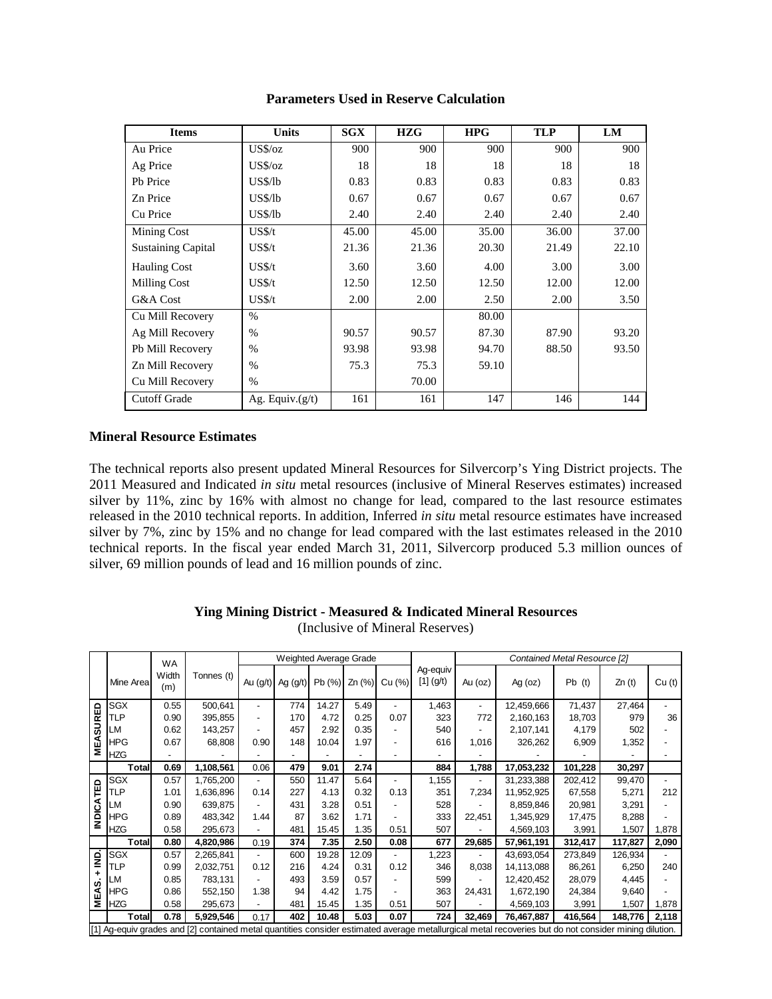| <b>Items</b>              | <b>Units</b>       | SGX   | <b>HZG</b> | <b>HPG</b> | <b>TLP</b> | LM    |
|---------------------------|--------------------|-------|------------|------------|------------|-------|
| Au Price                  | $US\%/oz$          | 900   | 900        | 900        | 900        | 900   |
| Ag Price                  | $US\%$ /oz         | 18    | 18         | 18         | 18         | 18    |
| Pb Price                  | US\$/lb            | 0.83  | 0.83       | 0.83       | 0.83       | 0.83  |
| Zn Price                  | US\$/lb            | 0.67  | 0.67       | 0.67       | 0.67       | 0.67  |
| Cu Price                  | US\$/lb            | 2.40  | 2.40       | 2.40       | 2.40       | 2.40  |
| Mining Cost               | US\$/t             | 45.00 | 45.00      | 35.00      | 36.00      | 37.00 |
| <b>Sustaining Capital</b> | US\$/t             | 21.36 | 21.36      | 20.30      | 21.49      | 22.10 |
| <b>Hauling Cost</b>       | US\$/t             | 3.60  | 3.60       | 4.00       | 3.00       | 3.00  |
| Milling Cost              | US\$/t             | 12.50 | 12.50      | 12.50      | 12.00      | 12.00 |
| G&A Cost                  | US\$/t             | 2.00  | 2.00       | 2.50       | 2.00       | 3.50  |
| Cu Mill Recovery          | $\%$               |       |            | 80.00      |            |       |
| Ag Mill Recovery          | $\%$               | 90.57 | 90.57      | 87.30      | 87.90      | 93.20 |
| Pb Mill Recovery          | $\%$               | 93.98 | 93.98      | 94.70      | 88.50      | 93.50 |
| Zn Mill Recovery          | $\%$               | 75.3  | 75.3       | 59.10      |            |       |
| Cu Mill Recovery          | $\%$               |       | 70.00      |            |            |       |
| <b>Cutoff Grade</b>       | Ag. Equiv. $(g/t)$ | 161   | 161        | 147        | 146        | 144   |

#### **Parameters Used in Reserve Calculation**

#### **Mineral Resource Estimates**

The technical reports also present updated Mineral Resources for Silvercorp's Ying District projects. The 2011 Measured and Indicated *in situ* metal resources (inclusive of Mineral Reserves estimates) increased silver by 11%, zinc by 16% with almost no change for lead, compared to the last resource estimates released in the 2010 technical reports. In addition, Inferred *in situ* metal resource estimates have increased silver by 7%, zinc by 15% and no change for lead compared with the last estimates released in the 2010 technical reports. In the fiscal year ended March 31, 2011, Silvercorp produced 5.3 million ounces of silver, 69 million pounds of lead and 16 million pounds of zinc.

|                  | Weighted Average Grade<br><b>WA</b> |              |            |                          |            |       |          |                          |                         | Contained Metal Resource [2] |                                                                                                                                                       |         |         |                          |  |  |
|------------------|-------------------------------------|--------------|------------|--------------------------|------------|-------|----------|--------------------------|-------------------------|------------------------------|-------------------------------------------------------------------------------------------------------------------------------------------------------|---------|---------|--------------------------|--|--|
|                  | Mine Area                           | Width<br>(m) | Tonnes (t) | Au $(g/t)$               | Ag $(g/t)$ | Pb(%) | $Zn$ (%) | Cu (%)                   | Ag-equiv<br>$[1]$ (g/t) | Au (oz)                      | Ag $(oz)$                                                                                                                                             | Pb(t)   | Zn(t)   | Cu <sub>(t)</sub>        |  |  |
|                  | <b>SGX</b>                          | 0.55         | 500,641    | -                        | 774        | 14.27 | 5.49     | $\overline{\phantom{a}}$ | 1,463                   | $\overline{\phantom{0}}$     | 12,459,666                                                                                                                                            | 71,437  | 27,464  | $\overline{\phantom{0}}$ |  |  |
| <b>MEASURED</b>  | TLP                                 | 0.90         | 395,855    | $\overline{\phantom{0}}$ | 170        | 4.72  | 0.25     | 0.07                     | 323                     | 772                          | 2,160,163                                                                                                                                             | 18,703  | 979     | 36                       |  |  |
|                  | LM                                  | 0.62         | 143,257    |                          | 457        | 2.92  | 0.35     |                          | 540                     |                              | 2,107,141                                                                                                                                             | 4,179   | 502     |                          |  |  |
|                  | HPG                                 | 0.67         | 68,808     | 0.90                     | 148        | 10.04 | 1.97     | $\overline{\phantom{a}}$ | 616                     | 1,016                        | 326,262                                                                                                                                               | 6,909   | 1,352   |                          |  |  |
|                  | <b>HZG</b>                          |              |            |                          |            |       |          |                          |                         |                              |                                                                                                                                                       |         |         |                          |  |  |
|                  | <b>Total</b>                        | 0.69         | 1,108,561  | 0.06                     | 479        | 9.01  | 2.74     |                          | 884                     | 1,788                        | 17,053,232                                                                                                                                            | 101,228 | 30,297  |                          |  |  |
| <b>INDICATED</b> | SGX                                 | 0.57         | 1,765,200  |                          | 550        | 11.47 | 5.64     | $\overline{\phantom{a}}$ | 1,155                   | $\overline{a}$               | 31,233,388                                                                                                                                            | 202,412 | 99,470  | $\overline{\phantom{a}}$ |  |  |
|                  | TLP                                 | 1.01         | 1,636,896  | 0.14                     | 227        | 4.13  | 0.32     | 0.13                     | 351                     | 7,234                        | 11,952,925                                                                                                                                            | 67,558  | 5,271   | 212                      |  |  |
|                  | LM                                  | 0.90         | 639,875    |                          | 431        | 3.28  | 0.51     |                          | 528                     |                              | 8,859,846                                                                                                                                             | 20,981  | 3,291   |                          |  |  |
|                  | <b>HPG</b>                          | 0.89         | 483,342    | 1.44                     | 87         | 3.62  | 1.71     |                          | 333                     | 22,451                       | 1,345,929                                                                                                                                             | 17,475  | 8,288   |                          |  |  |
|                  | <b>HZG</b>                          | 0.58         | 295,673    |                          | 481        | 15.45 | 1.35     | 0.51                     | 507                     |                              | 4,569,103                                                                                                                                             | 3,991   | 1,507   | 1,878                    |  |  |
|                  | <b>Total</b>                        | 0.80         | 4,820,986  | 0.19                     | 374        | 7.35  | 2.50     | 0.08                     | 677                     | 29,685                       | 57,961,191                                                                                                                                            | 312,417 | 117,827 | 2,090                    |  |  |
| IND.             | <b>SGX</b>                          | 0.57         | 2,265,841  |                          | 600        | 19.28 | 12.09    |                          | ,223                    |                              | 43,693,054                                                                                                                                            | 273,849 | 126,934 |                          |  |  |
|                  | TLP                                 | 0.99         | 2,032,751  | 0.12                     | 216        | 4.24  | 0.31     | 0.12                     | 346                     | 8,038                        | 14,113,088                                                                                                                                            | 86,261  | 6,250   | 240                      |  |  |
|                  | LM                                  | 0.85         | 783,131    |                          | 493        | 3.59  | 0.57     | $\overline{\phantom{a}}$ | 599                     |                              | 12,420,452                                                                                                                                            | 28,079  | 4,445   |                          |  |  |
| MEAS.            | HPG                                 | 0.86         | 552,150    | 1.38                     | 94         | 4.42  | 1.75     | $\overline{\phantom{a}}$ | 363                     | 24,431                       | 1,672,190                                                                                                                                             | 24,384  | 9,640   |                          |  |  |
|                  | <b>HZG</b>                          | 0.58         | 295,673    |                          | 481        | 15.45 | 1.35     | 0.51                     | 507                     |                              | 4,569,103                                                                                                                                             | 3,991   | 1,507   | 1,878                    |  |  |
|                  | <b>Total</b>                        | 0.78         | 5,929,546  | 0.17                     | 402        | 10.48 | 5.03     | 0.07                     | 724                     | 32,469                       | 76,467,887                                                                                                                                            | 416,564 | 148,776 | 2,118                    |  |  |
|                  |                                     |              |            |                          |            |       |          |                          |                         |                              | [1] Ag-equiv grades and [2] contained metal quantities consider estimated average metallurgical metal recoveries but do not consider mining dilution. |         |         |                          |  |  |

# **Ying Mining District - Measured & Indicated Mineral Resources**

(Inclusive of Mineral Reserves)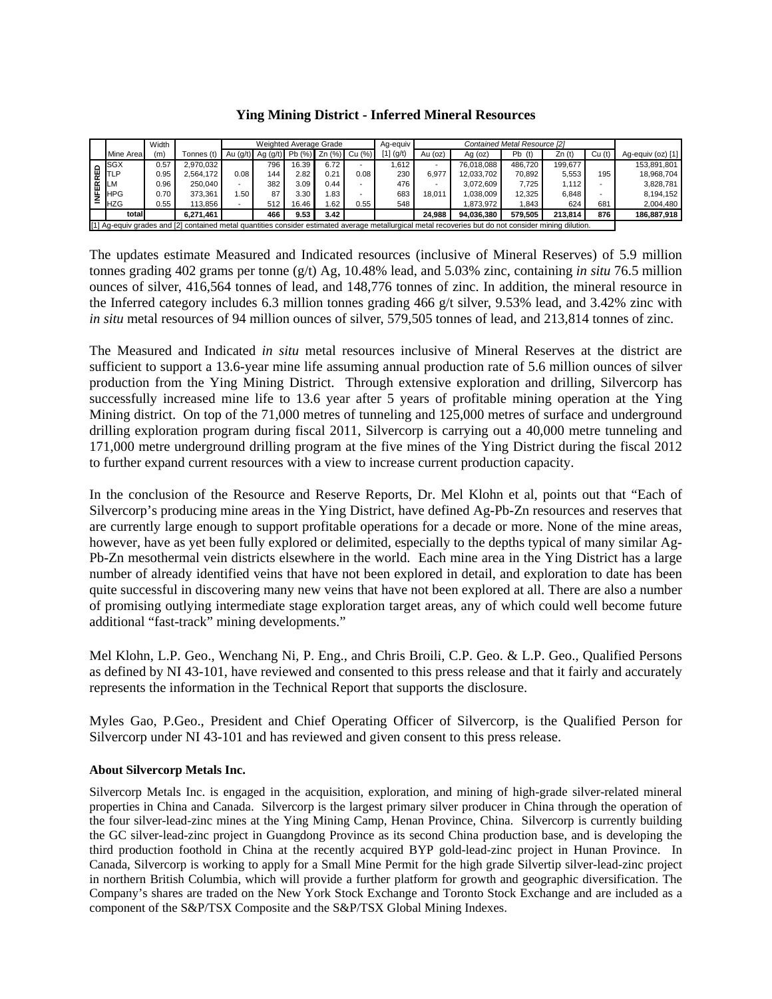**Ying Mining District - Inferred Mineral Resources** 

|   |                                                                                                                                                       | Width |            | Weighted Average Grade |                       |       |                      |                          | Aq-equiv    | Contained Metal Resource [2] |            |          |         |        |                   |
|---|-------------------------------------------------------------------------------------------------------------------------------------------------------|-------|------------|------------------------|-----------------------|-------|----------------------|--------------------------|-------------|------------------------------|------------|----------|---------|--------|-------------------|
|   | Mine Area                                                                                                                                             | (m)   | Tonnes (t) |                        | Au $(g/t)$ Ag $(g/t)$ |       | Pb (%) Zn (%) Cu (%) |                          | $[1]$ (g/t) | Au (oz)                      | Ag (oz)    | $Pb$ (t) | Zn(t)   | Cu (t) | Ag-equiv (oz) [1] |
|   | <b>SGX</b>                                                                                                                                            | 0.57  | 2,970,032  |                        | 796                   | 16.39 | 6.72                 |                          | 1.612       |                              | 76.018.088 | 486.720  | 199.677 |        | 153,891,801       |
| 面 | <b>TLP</b>                                                                                                                                            | 0.95  | 2.564.172  | 0.08                   | 144                   | 2.82  | 0.21                 | 0.08                     | 230         | 6.977                        | 12.033.702 | 70.892   | 5.553   | 195    | 18,968,704        |
|   | LM                                                                                                                                                    | 0.96  | 250,040    |                        | 382                   | 3.09  | 0.44                 | $\overline{\phantom{a}}$ | 476         |                              | 3.072.609  | 7.725    | 1.112   |        | 3,828,781         |
| ₩ | <b>HPG</b>                                                                                                                                            | 0.70  | 373.361    | .50                    | 87                    | 3.30  | 1.83                 |                          | 683         | 18.011                       | 1.038.009  | 12.325   | 6.848   |        | 8.194.152         |
|   | <b>HZG</b>                                                                                                                                            | 0.55  | 113.856    |                        | 512                   | 16.46 | 1.62                 | 0.55                     | 548         |                              | .873.972   | .843     | 624     | 681    | 2.004.480         |
|   | total                                                                                                                                                 |       | 6.271.461  |                        | 466                   | 9.53  | 3.42                 |                          |             | 24.988                       | 94.036.380 | 579.505  | 213.814 | 876    | 186,887,918       |
|   | [1] Ag-equiv grades and [2] contained metal quantities consider estimated average metallurgical metal recoveries but do not consider mining dilution. |       |            |                        |                       |       |                      |                          |             |                              |            |          |         |        |                   |

The updates estimate Measured and Indicated resources (inclusive of Mineral Reserves) of 5.9 million tonnes grading 402 grams per tonne (g/t) Ag, 10.48% lead, and 5.03% zinc, containing *in situ* 76.5 million ounces of silver, 416,564 tonnes of lead, and 148,776 tonnes of zinc. In addition, the mineral resource in the Inferred category includes 6.3 million tonnes grading 466 g/t silver, 9.53% lead, and 3.42% zinc with *in situ* metal resources of 94 million ounces of silver, 579,505 tonnes of lead, and 213,814 tonnes of zinc.

The Measured and Indicated *in situ* metal resources inclusive of Mineral Reserves at the district are sufficient to support a 13.6-year mine life assuming annual production rate of 5.6 million ounces of silver production from the Ying Mining District. Through extensive exploration and drilling, Silvercorp has successfully increased mine life to 13.6 year after 5 years of profitable mining operation at the Ying Mining district. On top of the 71,000 metres of tunneling and 125,000 metres of surface and underground drilling exploration program during fiscal 2011, Silvercorp is carrying out a 40,000 metre tunneling and 171,000 metre underground drilling program at the five mines of the Ying District during the fiscal 2012 to further expand current resources with a view to increase current production capacity.

In the conclusion of the Resource and Reserve Reports, Dr. Mel Klohn et al, points out that "Each of Silvercorp's producing mine areas in the Ying District, have defined Ag-Pb-Zn resources and reserves that are currently large enough to support profitable operations for a decade or more. None of the mine areas, however, have as yet been fully explored or delimited, especially to the depths typical of many similar Ag-Pb-Zn mesothermal vein districts elsewhere in the world. Each mine area in the Ying District has a large number of already identified veins that have not been explored in detail, and exploration to date has been quite successful in discovering many new veins that have not been explored at all. There are also a number of promising outlying intermediate stage exploration target areas, any of which could well become future additional "fast-track" mining developments."

Mel Klohn, L.P. Geo., Wenchang Ni, P. Eng., and Chris Broili, C.P. Geo. & L.P. Geo., Qualified Persons as defined by NI 43-101, have reviewed and consented to this press release and that it fairly and accurately represents the information in the Technical Report that supports the disclosure.

Myles Gao, P.Geo., President and Chief Operating Officer of Silvercorp, is the Qualified Person for Silvercorp under NI 43-101 and has reviewed and given consent to this press release.

#### **About Silvercorp Metals Inc.**

Silvercorp Metals Inc. is engaged in the acquisition, exploration, and mining of high-grade silver-related mineral properties in China and Canada. Silvercorp is the largest primary silver producer in China through the operation of the four silver-lead-zinc mines at the Ying Mining Camp, Henan Province, China. Silvercorp is currently building the GC silver-lead-zinc project in Guangdong Province as its second China production base, and is developing the third production foothold in China at the recently acquired BYP gold-lead-zinc project in Hunan Province. In Canada, Silvercorp is working to apply for a Small Mine Permit for the high grade Silvertip silver-lead-zinc project in northern British Columbia, which will provide a further platform for growth and geographic diversification. The Company's shares are traded on the New York Stock Exchange and Toronto Stock Exchange and are included as a component of the S&P/TSX Composite and the S&P/TSX Global Mining Indexes.